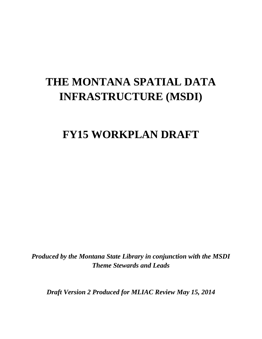# **THE MONTANA SPATIAL DATA INFRASTRUCTURE (MSDI)**

## **FY15 WORKPLAN DRAFT**

*Produced by the Montana State Library in conjunction with the MSDI Theme Stewards and Leads*

*Draft Version 2 Produced for MLIAC Review May 15, 2014*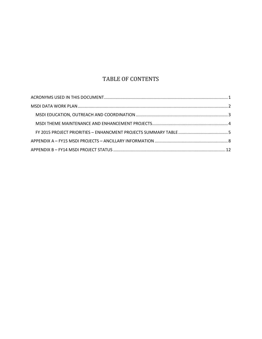## TABLE OF CONTENTS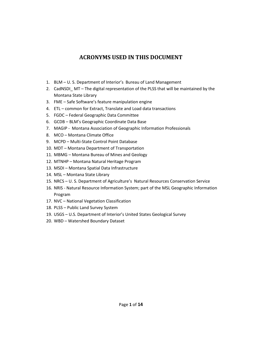## **ACRONYMS USED IN THIS DOCUMENT**

- <span id="page-2-0"></span>1. BLM – U. S. Department of Interior's Bureau of Land Management
- 2. CadNSDI MT The digital representation of the PLSS that will be maintained by the Montana State Library
- 3. FME Safe Software's feature manipulation engine
- 4. ETL common for Extract, Translate and Load data transactions
- 5. FGDC Federal Geographic Data Committee
- 6. GCDB BLM's Geographic Coordinate Data Base
- 7. MAGIP Montana Association of Geographic Information Professionals
- 8. MCO Montana Climate Office
- 9. MCPD Multi-State Control Point Database
- 10. MDT Montana Department of Transportation
- 11. MBMG Montana Bureau of Mines and Geology
- 12. MTNHP Montana Natural Heritage Program
- 13. MSDI Montana Spatial Data Infrastructure
- 14. MSL Montana State Library
- 15. NRCS U. S. Department of Agriculture's Natural Resources Conservation Service
- 16. NRIS Natural Resource Information System; part of the MSL Geographic Information Program
- 17. NVC National Vegetation Classification
- 18. PLSS Public Land Survey System
- 19. USGS U.S. Department of Interior's United States Geological Survey
- 20. WBD Watershed Boundary Dataset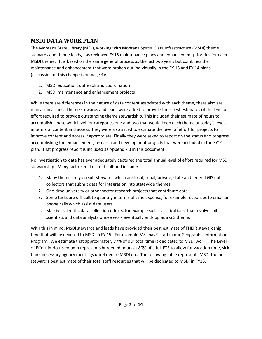## <span id="page-3-0"></span>**MSDI DATA WORK PLAN**

The Montana State Library (MSL), working with Montana Spatial Data Infrastructure (MSDI) theme stewards and theme leads, has reviewed FY15 maintenance plans and enhancement priorities for each MSDI theme. It is based on the same general process as the last two years but combines the maintenance and enhancement that were broken out individually in the FY 13 and FY 14 plans (discussion of this change is on page 4):

- 1. MSDI education, outreach and coordination
- 2. MSDI maintenance and enhancement projects

While there are differences in the nature of data content associated with each theme, there also are many similarities. Theme stewards and leads were asked to provide their best estimates of the level of effort required to provide outstanding theme stewardship. This included their estimate of hours to accomplish a base work level for categories one and two that would keep each theme at today's levels in terms of content and access. They were also asked to estimate the level of effort for projects to improve content and access if appropriate. Finally they were asked to report on the status and progress accomplishing the enhancement, research and development projects that were included in the FY14 plan. That progress report is included as Appendix B in this document.

No investigation to date has ever adequately captured the total annual level of effort required for MSDI stewardship. Many factors make it difficult and include:

- 1. Many themes rely on sub-stewards which are local, tribal, private, state and federal GIS data collectors that submit data for integration into statewide themes.
- 2. One-time university or other sector research projects that contribute data.
- 3. Some tasks are difficult to quantify in terms of time expense, for example responses to email or phone calls which assist data users.
- 4. Massive scientific data collection efforts, for example soils classifications, that involve soil scientists and data analysts whose work eventually ends up as a GIS theme.

With this in mind, MSDI stewards and leads have provided their best estimate of **THEIR** stewardship time that will be devoted to MSDI in FY 15. For example MSL has 9 staff in our Geographic Information Program. We estimate that approximately 77% of our total time is dedicated to MSDI work. The Level of Effort in Hours column represents burdened hours at 80% of a full FTE to allow for vacation time, sick time, necessary agency meetings unrelated to MSDI etc. The following table represents MSDI theme steward's best estimate of their total staff resources that will be dedicated to MSDI in FY15.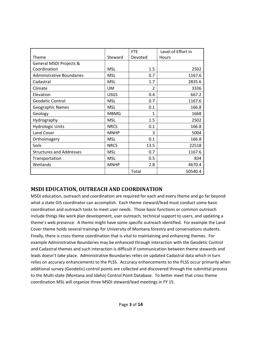|                                  |             | <b>FTE</b> | Level of Effort in |
|----------------------------------|-------------|------------|--------------------|
| Theme                            | Steward     | Devoted    | <b>Hours</b>       |
| General MSDI Projects &          |             |            |                    |
| Coordination                     | <b>MSL</b>  | 1.5        | 2502               |
| <b>Administrative Boundaries</b> | <b>MSL</b>  | 0.7        | 1167.6             |
| Cadastral                        | <b>MSL</b>  | 1.7        | 2835.6             |
| Climate                          | <b>UM</b>   | 2          | 3336               |
| Elevation                        | <b>USGS</b> | 0.4        | 667.2              |
| Geodetic Control                 | <b>MSL</b>  | 0.7        | 1167.6             |
| Geographic Names                 | <b>MSL</b>  | 0.1        | 166.8              |
| Geology                          | <b>MBMG</b> | 1          | 1668               |
| Hydrography                      | <b>MSL</b>  | 1.5        | 2502               |
| <b>Hydrologic Units</b>          | <b>NRCS</b> | 0.1        | 166.8              |
| Land Cover                       | <b>MNHP</b> | 3          | 5004               |
| Orthoimagery                     | <b>MSL</b>  | 0.1        | 166.8              |
| Soils                            | <b>NRCS</b> | 13.5       | 22518              |
| <b>Structures and Addresses</b>  | <b>MSL</b>  | 0.7        | 1167.6             |
| Transportation                   | <b>MSL</b>  | 0.5        | 834                |
| Wetlands                         | <b>MNHP</b> | 2.8        | 4670.4             |
|                                  |             | Total      | 50540.4            |

#### <span id="page-4-0"></span>**MSDI EDUCATION, OUTREACH AND COORDINATION**

MSDI education, outreach and coordination are required for each and every theme and go far beyond what a state GIS coordinator can accomplish. Each theme steward/lead must conduct some basic coordination and outreach tasks to meet user needs. Those basic functions or common outreach include things like work plan development, user outreach, technical support to users, and updating a theme's web presence. A theme might have some specific outreach identified. For example the Land Cover theme holds several trainings for University of Montana forestry and conservations students. Finally, there is cross theme coordination that is vital to maintaining and enhancing themes. For example Administrative Boundaries may be enhanced through interaction with the Geodetic Control and Cadastral themes and such interaction is difficult if communication between theme stewards and leads doesn't take place. Administrative Boundaries relies on updated Cadastral data which in turn relies on accuracy enhancements to the PLSS. Accuracy enhancements to the PLSS occur primarily when additional survey (Geodetic) control points are collected and discovered through the submittal process to the Multi-state (Montana and Idaho) Control Point Database. To better meet that cross theme coordination MSL will organize three MSDI steward/lead meetings in FY 15.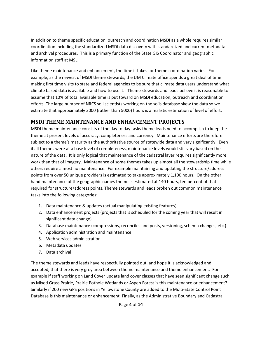In addition to theme specific education, outreach and coordination MSDI as a whole requires similar coordination including the standardized MSDI data discovery with standardized and current metadata and archival procedures. This is a primary function of the State GIS Coordinator and geographic information staff at MSL.

Like theme maintenance and enhancement, the time it takes for theme coordination varies. For example, as the newest of MSDI theme stewards, the UM Climate office spends a great deal of time making first time visits to state and federal agencies to be sure that climate data users understand what climate based data is available and how to use it. Theme stewards and leads believe it is reasonable to assume that 10% of total available time is put toward on MSDI education, outreach and coordination efforts. The large number of NRCS soil scientists working on the soils database skew the data so we estimate that approximately 3000 (rather than 5000) hours is a realistic estimation of level of effort.

#### <span id="page-5-0"></span>**MSDI THEME MAINTENANCE AND ENHANCEMENT PROJECTS**

MSDI theme maintenance consists of the day to day tasks theme leads need to accomplish to keep the theme at present levels of accuracy, completeness and currency. Maintenance efforts are therefore subject to a theme's maturity as the authoritative source of statewide data and vary significantly. Even if all themes were at a base level of completeness, maintenance levels would still vary based on the nature of the data. It is only logical that maintenance of the cadastral layer requires significantly more work than that of imagery. Maintenance of some themes takes up almost all the stewardship time while others require almost no maintenance. For example maintaining and updating the structure/address points from over 50 unique providers is estimated to take approximately 1,100 hours. On the other hand maintenance of the geographic names theme is estimated at 140 hours, ten percent of that required for structure/address points. Theme stewards and leads broken out common maintenance tasks into the following categories:

- 1. Data maintenance & updates (actual manipulating existing features)
- 2. Data enhancement projects (projects that is scheduled for the coming year that will result in significant data change)
- 3. Database maintenance (compressions, reconciles and posts, versioning, schema changes, etc.)
- 4. Application administration and maintenance
- 5. Web services administration
- 6. Metadata updates
- 7. Data archival

The theme stewards and leads have respectfully pointed out, and hope it is acknowledged and accepted, that there is very grey area between theme maintenance and theme enhancement. For example if staff working on Land Cover update land cover classes that have seen significant change such as Mixed Grass Prairie, Prairie Pothole Wetlands or Aspen Forest is this maintenance or enhancement? Similarly if 200 new GPS positions in Yellowstone County are added to the Multi-State Control Point Database is this maintenance or enhancement. Finally, as the Administrative Boundary and Cadastral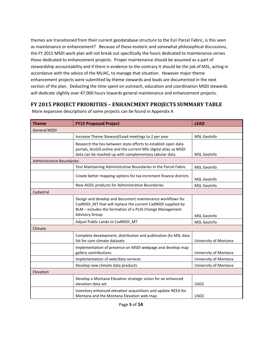themes are transitioned from their current geodatabase structure to the Esri Parcel Fabric, is this seen as maintenance or enhancement? Because of these esoteric and somewhat philosophical discussions, the FY 2015 MSDI work plan will not break out specifically the hours dedicated to maintenance verses those dedicated to enhancement projects. Proper maintenance should be assumed as a part of stewardship accountability and if there is evidence to the contrary it should be the job of MSL, acting in accordance with the advice of the MLIAC, to manage that situation. However major theme enhancement projects were submitted by theme stewards and leads are documented in the next section of the plan. Deducting the time spent on outreach, education and coordination MSDI stewards will dedicate slightly over 47,000 hours towards general maintenance and enhancement projects.

### <span id="page-6-0"></span>**FY 2015 PROJECT PRIORITIES – ENHANCMENT PROJECTS SUMMARY TABLE**

| <b>Theme</b>                     | <b>FY15 Proposed Project</b>                                                                                                                                                                                   | <b>LEAD</b>           |
|----------------------------------|----------------------------------------------------------------------------------------------------------------------------------------------------------------------------------------------------------------|-----------------------|
| <b>General MSDI</b>              |                                                                                                                                                                                                                |                       |
|                                  | Increase Theme Steward/Lead meetings to 2 per year                                                                                                                                                             | <b>MSL GeoInfo</b>    |
|                                  | Research the ties between state efforts to establish open data<br>portals, ArcGIS online and the current MSL digital atlas so MSDI<br>data can be mashed up with complementary tabular data                    | <b>MSL GeoInfo</b>    |
| <b>Administrative Boundaries</b> |                                                                                                                                                                                                                |                       |
|                                  | Test Maintaining Administrative Boundaries in the Parcel Fabric                                                                                                                                                | <b>MSL GeoInfo</b>    |
|                                  | Create better mapping options for tax increment finance districts                                                                                                                                              | <b>MSL GeoInfo</b>    |
|                                  | New AGOL products for Administrative Boundaries                                                                                                                                                                | MSL GeoInfo           |
| Cadastral                        |                                                                                                                                                                                                                |                       |
|                                  | Design and develop and document maintenance workflows for<br>CadNSDI MT that will replace the current CadNSDI supplied by<br>BLM - includes the formation of a PLSS Change Management<br><b>Advisory Group</b> | <b>MSL GeoInfo</b>    |
|                                  | Adjust Public Lands to CadNSDI MT                                                                                                                                                                              | <b>MSL GeoInfo</b>    |
| Climate                          |                                                                                                                                                                                                                |                       |
|                                  | Complete development, distribution and publication (to MSL data<br>list for core climate datasets                                                                                                              | University of Montana |
|                                  | Implementation of presence on MSDI webpage and develop map<br>gallery contributions                                                                                                                            | University of Montana |
|                                  | Implementation of web/data services                                                                                                                                                                            | University of Montana |
|                                  | Develop new climate data products                                                                                                                                                                              | University of Montana |
| Elevation                        |                                                                                                                                                                                                                |                       |
|                                  | Develop a Montana Elevation strategic vision for an enhanced<br>elevation data set                                                                                                                             | <b>USGS</b>           |
|                                  | Inventory enhanced elevation acquisitions and update NEEA for<br>Montana and the Montana Elevation web map                                                                                                     | <b>USGS</b>           |

More expansive descriptions of some projects can be found in Appendix A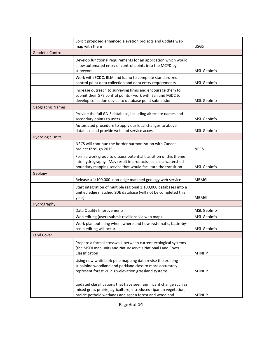| Solicit proposed enhanced elevation projects and update web<br>map with them |                                                                                                                                                                                                  | <b>USGS</b>        |
|------------------------------------------------------------------------------|--------------------------------------------------------------------------------------------------------------------------------------------------------------------------------------------------|--------------------|
| Geodetic Control                                                             |                                                                                                                                                                                                  |                    |
|                                                                              | Develop functional requirements for an application which would<br>allow automated entry of control points into the MCPD by<br>surveyors                                                          | <b>MSL</b> GeoInfo |
|                                                                              | Work with FCDC, BLM and Idaho to complete standardized<br>control point data collection and data entry requirements                                                                              | <b>MSL GeoInfo</b> |
|                                                                              | Increase outreach to surveying firms and encourage them to<br>submit their GPS control points - work with Esri and FGDC to<br>develop collection device to database point submission             | <b>MSL</b> GeoInfo |
| <b>Geographic Names</b>                                                      |                                                                                                                                                                                                  |                    |
|                                                                              | Provide the full GNIS database, including alternate names and<br>secondary points to users                                                                                                       | <b>MSL</b> GeoInfo |
|                                                                              | Automated procedure to apply our local changes to above<br>database and provide web and service access                                                                                           | <b>MSL GeoInfo</b> |
| <b>Hydrologic Units</b>                                                      |                                                                                                                                                                                                  |                    |
|                                                                              | NRCS will continue the border harmonization with Canada<br>project through 2015                                                                                                                  | <b>NRCS</b>        |
|                                                                              | Form a work group to discuss potential transition of this theme<br>into hydrography. May result in products such as a watershed<br>boundary mapping service that would facilitate the transition | <b>MSL GeoInfo</b> |
| Geology                                                                      |                                                                                                                                                                                                  |                    |
|                                                                              | Release a 1:100,000 non-edge matched geology web service                                                                                                                                         | <b>MBMG</b>        |
|                                                                              | Start integration of multiple regional 1:100,000 databases into a<br>unified edge matched SDE database (will not be completed this<br>year)                                                      | <b>MBMG</b>        |
| Hydrography                                                                  |                                                                                                                                                                                                  |                    |
|                                                                              | Data Quality Improvements                                                                                                                                                                        | MSL GeoInfo        |
|                                                                              | Web editing (users submit revisions via web map)                                                                                                                                                 | <b>MSL GeoInfo</b> |
|                                                                              | Work plan outlining when, where and how systematic, basin-by-<br>basin editing will occur                                                                                                        | <b>MSL GeoInfo</b> |
| <b>Land Cover</b>                                                            |                                                                                                                                                                                                  |                    |
|                                                                              | Prepare a formal crosswalk between current ecological systems<br>(the MSDI map unit) and Natureserve's National Land Cover<br>Classification                                                     | <b>MTNHP</b>       |
|                                                                              | Using new whitebark pine mapping data revise the existing<br>subalpine woodland and parkland class to more accurately<br>represent forest vs. high-elevation grassland systems                   | <b>MTNHP</b>       |
|                                                                              | updated classifications that have seen significant change such as<br>mixed grass prairie, agriculture, introduced riparian vegetation,<br>prairie pothole wetlands and aspen forest and woodland | <b>MTNHP</b>       |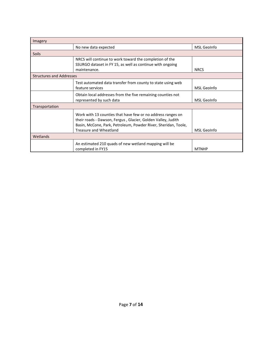| Imagery                         |                                                                                                                                                                                                                         |              |
|---------------------------------|-------------------------------------------------------------------------------------------------------------------------------------------------------------------------------------------------------------------------|--------------|
|                                 | No new data expected                                                                                                                                                                                                    | MSL GeoInfo  |
| Soils                           |                                                                                                                                                                                                                         |              |
|                                 | NRCS will continue to work toward the completion of the<br>SSURGO dataset in FY 15, as well as continue with ongoing<br>maintenance.                                                                                    | <b>NRCS</b>  |
| <b>Structures and Addresses</b> |                                                                                                                                                                                                                         |              |
|                                 | Test automated data transfer from county to state using web<br>feature services                                                                                                                                         | MSL GeoInfo  |
|                                 | Obtain local addresses from the five remaining counties not<br>represented by such data                                                                                                                                 | MSL GeoInfo  |
| Transportation                  |                                                                                                                                                                                                                         |              |
|                                 | Work with 13 counties that have few or no address ranges on<br>their roads - Dawson, Fergus, Glacier, Golden Valley, Judith<br>Basin, McCone, Park, Petroleum, Powder River, Sheridan, Toole,<br>Treasure and Wheatland | MSL GeoInfo  |
| Wetlands                        |                                                                                                                                                                                                                         |              |
|                                 | An estimated 210 quads of new wetland mapping will be<br>completed in FY15                                                                                                                                              | <b>MTNHP</b> |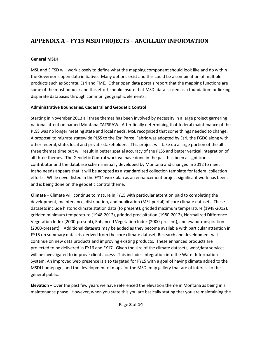## <span id="page-9-0"></span>**APPENDIX A – FY15 MSDI PROJECTS – ANCILLARY INFORMATION**

#### **General MSDI**

MSL and SITSD will work closely to define what the mapping component should look like and do within the Governor's open data initiative. Many options exist and this could be a combination of multiple products such as Socrata, Esri and FME. Other open data portals report that the mapping functions are some of the most popular and this effort should insure that MSDI data is used as a foundation for linking disparate databases through common geographic elements.

#### **Administrative Boundaries, Cadastral and Geodetic Control**

Starting in November 2013 all three themes has been involved by necessity in a large project garnering national attention named Montana CATSPAW. After finally determining that federal maintenance of the PLSS was no longer meeting state and local needs, MSL recognized that some things needed to change. A proposal to migrate statewide PLSS to the Esri Parcel Fabric was adopted by Esri, the FGDC along with other federal, state, local and private stakeholders. This project will take up a large portion of the all three themes time but will result in better spatial accuracy of the PLSS and better vertical integration of all three themes. The Geodetic Control work we have done in the past has been a significant contributor and the database schema initially developed by Montana and changed in 2012 to meet Idaho needs appears that it will be adopted as a standardized collection template for federal collection efforts. While never listed in the FY14 work plan as an enhancement project significant work has been, and is being done on the geodetic control theme.

**Climate** – Climate will continue to mature in FY15 with particular attention paid to completing the development, maintenance, distribution, and publication (MSL portal) of core climate datasets. These datasets include historic climate station data (to present), gridded maximum temperature (1948-2012), gridded minimum temperature (1948-2012), gridded precipitation (1980-2012), Normalized Difference Vegetation Index (2000-present), Enhanced Vegetation Index (2000-present), and evapotranspiration (2000-present). Additional datasets may be added as they become available with particular attention in FY15 on summary datasets derived from the core climate dataset. Research and development will continue on new data products and improving existing products. These enhanced products are projected to be delivered in FY16 and FY17. Given the size of the climate datasets, web\data services will be investigated to improve client access. This includes integration into the Water Information System. An improved web presence is also targeted for FY15 with a goal of having climate added to the MSDI homepage, and the development of maps for the MSDI map gallery that are of interest to the general public.

**Elevation** – Over the past few years we have referenced the elevation theme in Montana as being in a maintenance phase. However, when you state this you are basically stating that you are maintaining the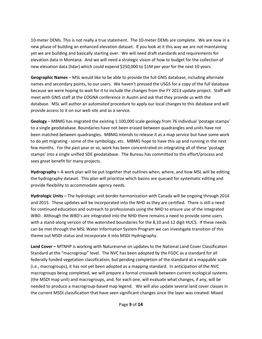10-meter DEMs. This is not really a true statement. The 10-meter DEMs are complete. We are now in a new phase of building an enhanced elevation dataset. If you look at it this way we are not maintaining yet we are building and basically starting over. We will need draft standards and requirements for elevation data in Montana. And we will need a strategic vision of how to budget for the collection of new elevation data (lidar) which could expend \$250,000 to \$1M per year for the next 10 years.

**Geographic Names** – MSL would like to be able to provide the full GNIS database, including alternate names and secondary points, to our users. We haven't pressed the USGS for a copy of the full database because we were hoping to wait for it to include the changes from the FY 2013 update project. Staff will meet with GNIS staff at the COGNA conference in Austin and ask that they provide us with the database. MSL will author an automated procedure to apply our local changes to this database and will provide access to it on our web site and as a service.

**Geology** – MBMG has migrated the existing 1:100,000 scale geology from 76 individual 'postage stamps' to a single geodatabase. Boundaries have not been erased between quadrangles and units have not been matched between quadrangles. MBMG intends to release it as a map service but have some work to do yet migrating - some of the symbology, etc. MBMG hope to have this up and running in the next few months. For the past year or so, work has been concentrated on integrating all of these 'postage stamps' into a single unified SDE geodatabase. The Bureau has committed to this effort/process and sees great benefit for many projects.

**Hydrography –** A work plan will be put together that outlines when, where, and how MSL will be editing the hydrography dataset. This plan will prioritize which basins are queued for systematic editing and provide flexibility to accommodate agency needs.

**Hydrologic Units** – The hydrologic unit border harmonization with Canada will be ongoing through 2014 and 2015. These updates will be incorporated into the NHD as they are certified. There is still a need for continued education and outreach to professionals using the NHD to ensure use of the integrated WBD. Although the WBD's are integrated into the NHD there remains a need to provide some users with a stand-along version of the watershed boundaries for the 8,10 and 12 digit HUCS. If these needs can be met through the MSL Water Information System Program we can investigate transition of this theme out MSDI status and incorporate it into MSDI Hydrography.

**Land Cover –** MTNHP is working with Natureserve on updates to the National Land Cover Classification Standard at the "macrogroup" level. The NVC has been adopted by the FGDC as a standard for all federally funded vegetation classification, but pending completion of the standard at a mappable scale (i.e., macrogroups), it has not yet been adopted as a mapping standard. In anticipation of the NVC macrogroups being completed, we will prepare a formal crosswalk between current ecological systems (the MSDI map unit) and macrogroups, and, for each one, will evaluate what changes, if any, will be needed to produce a macrogroup-based map legend. We will also update several land cover classes in the current MSDI classification that have seen significant changes since the layer was created: Mixed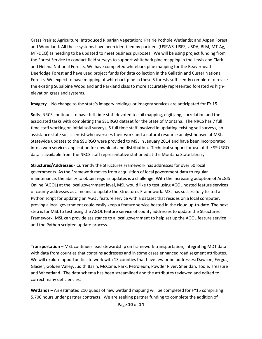Grass Prairie; Agriculture; Introduced Riparian Vegetation; Prairie Pothole Wetlands; and Aspen Forest and Woodland. All these systems have been identified by partners (USFWS, USFS, USDA, BLM, MT-Ag, MT-DEQ) as needing to be updated to meet business purposes. We will be using project funding from the Forest Service to conduct field surveys to support whitebark pine mapping in the Lewis and Clark and Helena National Forests. We have completed whitebark pine mapping for the Beaverhead-Deerlodge Forest and have used project funds for data collection in the Gallatin and Custer National Forests. We expect to have mapping of whitebark pine in these 5 forests sufficiently complete to revise the existing Subalpine Woodland and Parkland class to more accurately represented forested vs highelevation grassland systems.

**Imagery** – No change to the state's imagery holdings or imagery services are anticipated for FY 15.

**Soils**- NRCS continues to have full-time staff devoted to soil mapping, digitizing, correlation and the associated tasks with completing the SSURGO dataset for the State of Montana. The NRCS has 7 full time staff working on initial soil surveys, 5 full time staff involved in updating existing soil surveys, an assistance state soil scientist who oversees their work and a natural resource analyst housed at MSL. Statewide updates to the SSURGO were provided to MSL in January 2014 and have been incorporated into a web services application for download and distribution. Technical support for use of the SSURGO data is available from the NRCS staff representative stationed at the Montana State Library.

**Structures/Addresses** - Currently the Structures Framework has addresses for over 50 local governments. As the Framework moves from acquisition of local government data to regular maintenance, the ability to obtain regular updates is a challenge. With the increasing adoption of ArcGIS Online (AGOL) at the local government level, MSL would like to test using AGOL hosted feature services of county addresses as a means to update the Structures Framework. MSL has successfully tested a Python script for updating an AGOL feature service with a dataset that resides on a local computer, proving a local government could easily keep a feature service hosted in the cloud up-to-date. The next step is for MSL to test using the AGOL feature service of county addresses to update the Structures Framework. MSL can provide assistance to a local government to help set up the AGOL feature service and the Python scripted update process.

**Transportation** – MSL continues lead stewardship on framework transportation, integrating MDT data with data from counties that contains addresses and in some cases enhanced road segment attributes. We will explore opportunities to work with 13 counties that have few or no addresses; Dawson, Fergus, Glacier, Golden Valley, Judith Basin, McCone, Park, Petroleum, Powder River, Sheridan, Toole, Treasure and Wheatland. The data schema has been streamlined and the attributes reviewed and edited to correct many deficiencies.

**Wetlands** – An estimated 210 quads of new wetland mapping will be completed for FY15 comprising 5,700 hours under partner contracts. We are seeking partner funding to complete the addition of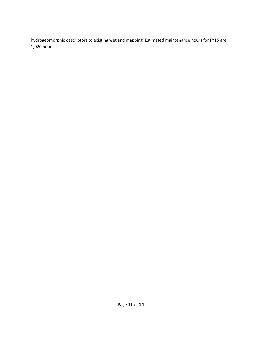hydrogeomorphic descriptors to existing wetland mapping. Estimated maintenance hours for FY15 are 1,020 hours.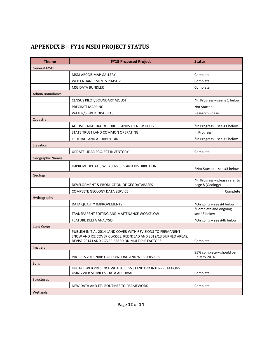## <span id="page-13-0"></span>**APPENDIX B – FY14 MSDI PROJECT STATUS**

| <b>Theme</b>            | <b>FY13 Proposed Project</b>                                                                                                                                                      | <b>Status</b>                                      |
|-------------------------|-----------------------------------------------------------------------------------------------------------------------------------------------------------------------------------|----------------------------------------------------|
| <b>General MSDI</b>     |                                                                                                                                                                                   |                                                    |
|                         | <b>MSDI ARCGIS MAP GALLERY</b>                                                                                                                                                    | Complete                                           |
|                         | WEB ENHANCEMENTS PHASE 2                                                                                                                                                          | Complete                                           |
|                         | <b>MSL DATA BUNDLER</b>                                                                                                                                                           | Complete                                           |
| <b>Admin Boundaries</b> |                                                                                                                                                                                   |                                                    |
|                         | CENSUS PILOT/BOUNDARY ADJUST                                                                                                                                                      | *In Progress - see #1 below                        |
|                         | PRECINCT MAPPING                                                                                                                                                                  | <b>Not Started</b>                                 |
|                         | WATER/SEWER DISTRICTS                                                                                                                                                             | <b>Research Phase</b>                              |
| Cadastral               |                                                                                                                                                                                   |                                                    |
|                         | ADJUST CADASTRAL & PUBLIC LANDS TO NEW GCDB                                                                                                                                       | *In Progress - see #1 below                        |
|                         | STATE TRUST LAND COMMON OPERATING                                                                                                                                                 | In Progress                                        |
|                         | FEDERAL LAND ATTRIBUTIOIN                                                                                                                                                         | *In Progress - see #2 below                        |
| Elevation               |                                                                                                                                                                                   |                                                    |
|                         | UPDATE LIDAR PROJECT INVENTORY                                                                                                                                                    | Complete                                           |
| Geographic Names        |                                                                                                                                                                                   |                                                    |
|                         | IMPROVE UPDATE, WEB SERVICES AND DISTRIBUTION                                                                                                                                     | *Not Started - see #3 below                        |
| Geology                 |                                                                                                                                                                                   |                                                    |
|                         | DEVELOPMENT & PRODUCTION OF GEODATABASES                                                                                                                                          | *In Progress - please refer to<br>page 8 (Geology) |
|                         | COMPLETE GEOLOGY DATA SERVICE                                                                                                                                                     | Complete                                           |
| Hydrography             |                                                                                                                                                                                   |                                                    |
|                         | DATA QUALITY IMPROVEMENTS                                                                                                                                                         | *On going - see #4 below                           |
|                         | TRANSPARENT EDITING AND MAITENANCE WORKFLOW                                                                                                                                       | *Complete and ongoing-<br>see #5 below             |
|                         | FEATURE DELTA ANALYSIS                                                                                                                                                            | *On going - see #4b below                          |
| <b>Land Cover</b>       |                                                                                                                                                                                   |                                                    |
|                         | PUBLISH INITIAL 2014 LAND COVER WITH REVISIONS TO PERMANENT<br>SNOW AND ICE COVER CLASSES, RED/DEAD AND 2012/13 BURNED AREAS;<br>REVISE 2014 LAND COVER BASED ON MULTIPLE FACTORS | Complete                                           |
| Imagery                 |                                                                                                                                                                                   |                                                    |
|                         | PROCESS 2013 NAIP FOR DOWLOAD AND WEB SERVICES                                                                                                                                    | 95% complete - should be<br>up May 2014            |
| Soils                   |                                                                                                                                                                                   |                                                    |
|                         | UPDATE WEB PRESENCE WITH ACCESS STANDARD INTERPRETATIONS<br>USING WEB SERVICES; DATA ARCHIVAL                                                                                     | Complete                                           |
| <b>Structures</b>       |                                                                                                                                                                                   |                                                    |
|                         | NEW DATA AND ETL ROUTINES TO FRAMEWORK                                                                                                                                            | Complete                                           |
| Wetlands                |                                                                                                                                                                                   |                                                    |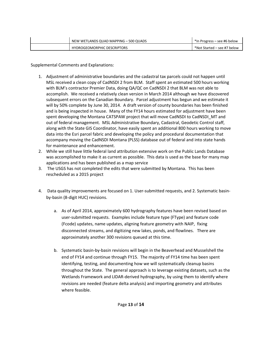| NEW WETLANDS QUAD MAPPING - 500 QUADS | *In Progress – see #6 below |
|---------------------------------------|-----------------------------|
| <b>HYDROGEOMORPHIC DESCRIPTORS</b>    | *Not Started – see #7 below |

Supplemental Comments and Explanations:

- 1. Adjustment of administrative boundaries and the cadastral tax parcels could not happen until MSL received a clean copy of CadNSDI 2 from BLM. Staff spent an estimated 500 hours working with BLM's contractor Premier Data, doing QA/QC on CadNSDI 2 that BLM was not able to accomplish. We received a relatively clean version in March 2014 although we have discovered subsequent errors on the Canadian Boundary. Parcel adjustment has begun and we estimate it will by 50% complete by June 30, 2014. A draft version of county boundaries has been finished and is being inspected in house. Many of the FY14 hours estimated for adjustment have been spent developing the Montana CATSPAW project that will move CadNSDI to CadNSDI\_MT and out of federal management. MSL Administrative Boundary, Cadastral, Geodetic Control staff, along with the State GIS Coordinator, have easily spent an additional 800 hours working to move data into the Esri parcel fabric and developing the policy and procedural documentation that accompany moving the CadNSDI Montana (PLSS) database out of federal and into state hands for maintenance and enhancement.
- 2. While we still have little federal land attribution extensive work on the Public Lands Database was accomplished to make it as current as possible. This data is used as the base for many map applications and has been published as a map service
- 3. The USGS has not completed the edits that were submitted by Montana. This has been rescheduled as a 2015 project
- 4. Data quality improvements are focused on 1. User-submitted requests, and 2. Systematic basinby-basin (8-digit HUC) revisions.
	- a. As of April 2014, approximately 600 hydrography features have been revised based on user-submitted requests. Examples include feature type (FType) and feature code (Fcode) updates, name updates, aligning feature geometry with NAIP, fixing disconnected streams, and digitizing new lakes, ponds, and flowlines. There are approximately another 300 revisions queued at this time.
	- b. Systematic basin-by-basin revisions will begin in the Beaverhead and Musselshell the end of FY14 and continue through FY15. The majority of FY14 time has been spent identifying, testing, and documenting how we will systematically cleanup basins throughout the State. The general approach is to leverage existing datasets, such as the Wetlands Framework and LIDAR-derived hydrography, by using them to identify where revisions are needed (feature delta analysis) and importing geometry and attributes where feasible.